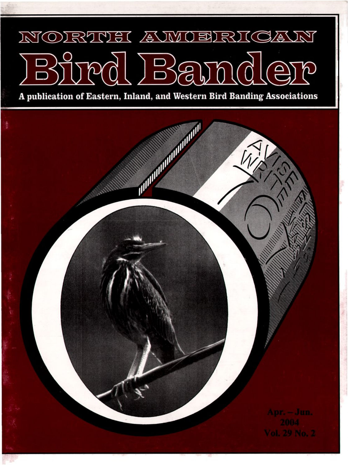## NORTH AWBRICAN PQ J B 27 **m** 0 <u>്റ</u>

**A publication of Eastern, Inland, and Western Bird Banding Associations**